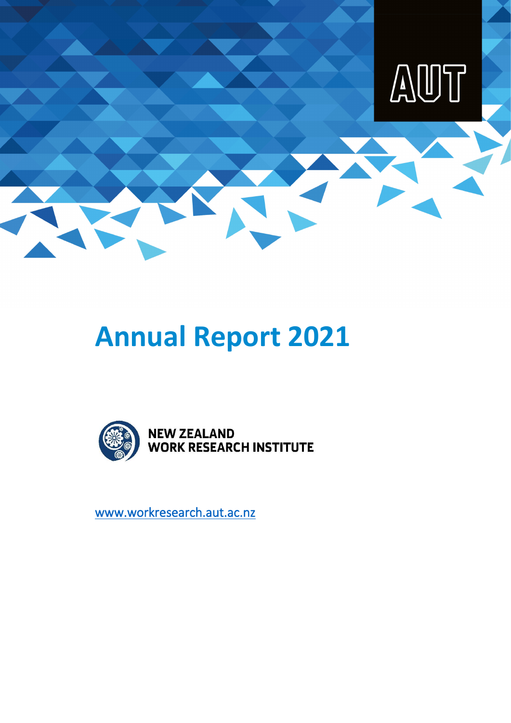

# **Annual Report 2021**



[www.workresearch.aut.ac.nz](https://workresearch.aut.ac.nz/)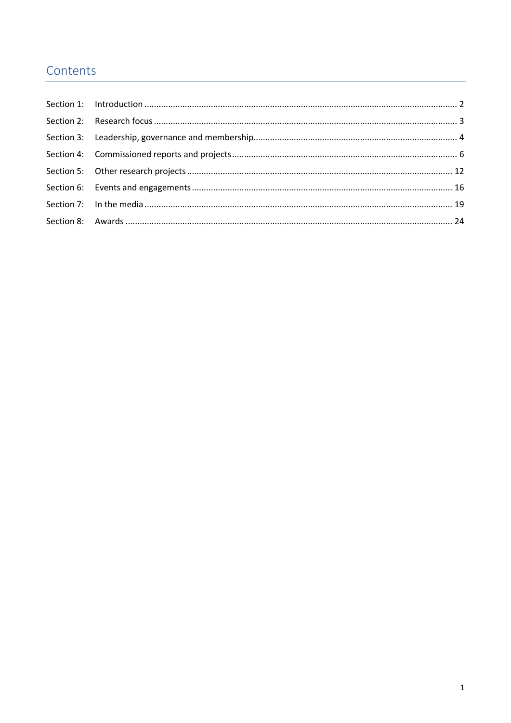## Contents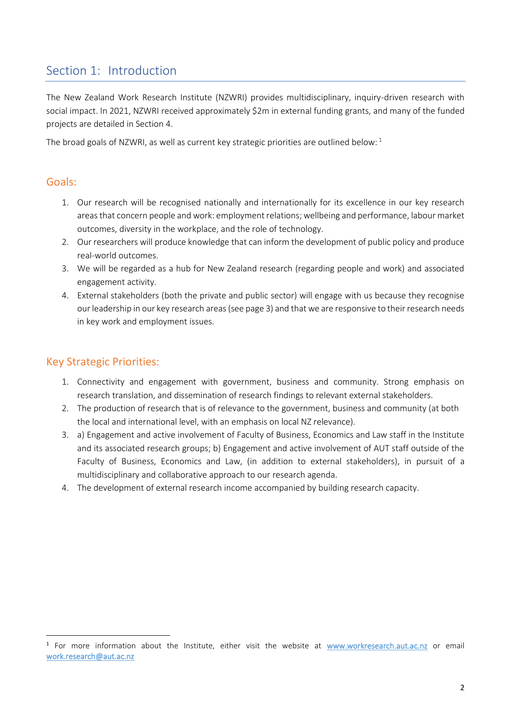## <span id="page-2-0"></span>Section 1: Introduction

The New Zealand Work Research Institute (NZWRI) provides multidisciplinary, inquiry-driven research with social impact. In 2021, NZWRI received approximately \$2m in external funding grants, and many of the funded projects are detailed in Section 4.

The broad goals of NZWRI, as well as current key strategic priorities are outlined below:  $1$ 

#### Goals:

- 1. Our research will be recognised nationally and internationally for its excellence in our key research areas that concern people and work: employment relations; wellbeing and performance, labour market outcomes, diversity in the workplace, and the role of technology.
- 2. Our researchers will produce knowledge that can inform the development of public policy and produce real-world outcomes.
- 3. We will be regarded as a hub for New Zealand research (regarding people and work) and associated engagement activity.
- 4. External stakeholders (both the private and public sector) will engage with us because they recognise our leadership in our key research areas (see page 3) and that we are responsive to their research needs in key work and employment issues.

## Key Strategic Priorities:

- 1. Connectivity and engagement with government, business and community. Strong emphasis on research translation, and dissemination of research findings to relevant external stakeholders.
- 2. The production of research that is of relevance to the government, business and community (at both the local and international level, with an emphasis on local NZ relevance).
- 3. a) Engagement and active involvement of Faculty of Business, Economics and Law staff in the Institute and its associated research groups; b) Engagement and active involvement of AUT staff outside of the Faculty of Business, Economics and Law, (in addition to external stakeholders), in pursuit of a multidisciplinary and collaborative approach to our research agenda.
- 4. The development of external research income accompanied by building research capacity.

<sup>&</sup>lt;sup>1</sup> For more information about the Institute, either visit the website at [www.workresearch.aut.ac.nz](http://www.workresearch.aut.ac.nz/) or email [work.research@aut.ac.nz](mailto:work.research@aut.ac.nz)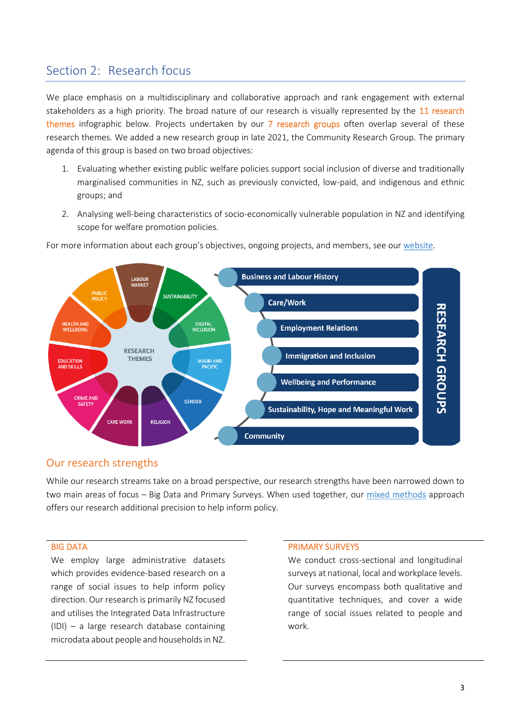## <span id="page-3-0"></span>Section 2: Research focus

We place emphasis on a multidisciplinary and collaborative approach and rank engagement with external stakeholders as a high priority. The broad nature of our research is visually represented by the 11 research themes infographic below. Projects undertaken by our 7 research groups often overlap several of these research themes. We added a new research group in late 2021, the Community Research Group. The primary agenda of this group is based on two broad objectives:

- 1. Evaluating whether existing public welfare policies support social inclusion of diverse and traditionally marginalised communities in NZ, such as previously convicted, low-paid, and indigenous and ethnic groups; and
- 2. Analysing well-being characteristics of socio-economically vulnerable population in NZ and identifying scope for welfare promotion policies.



For more information about each group's objectives, ongoing projects, and members, see our [website.](https://workresearch.aut.ac.nz/)

#### Our research strengths

While our research streams take on a broad perspective, our research strengths have been narrowed down to two main areas of focus – Big Data and Primary Surveys. When used together, our [mixed methods](https://workresearch.aut.ac.nz/research/mixed-methods) approach offers our research additional precision to help inform policy.

We employ large administrative datasets which provides evidence-based research on a range of social issues to help inform policy direction. Our research is primarily NZ focused and utilises the Integrated Data Infrastructure (IDI) – a large research database containing microdata about people and households in NZ.

#### BIG DATA PRIMARY SURVEYS

We conduct cross-sectional and longitudinal surveys at national, local and workplace levels. Our surveys encompass both qualitative and quantitative techniques, and cover a wide range of social issues related to people and work.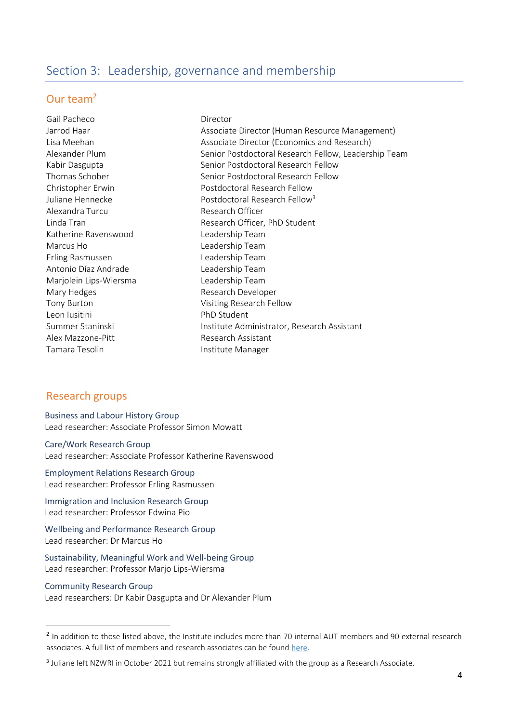## <span id="page-4-0"></span>Section 3: Leadership, governance and membership

#### Our team<sup>2</sup>

Gail Pacheco Director Alexandra Turcu **Research Officer** Katherine Ravenswood Leadership Team Marcus Ho **Leadership Team** Erling Rasmussen Leadership Team Antonio Díaz Andrade **Leadership Team** Marjolein Lips-Wiersma Leadership Team Mary Hedges **Research Developer** Tony Burton Visiting Research Fellow Leon Iusitini **PhD** Student Alex Mazzone-Pitt **Research Assistant** Tamara Tesolin **Institute Manager** 

Jarrod Haar Associate Director (Human Resource Management) Lisa Meehan Associate Director (Economics and Research) Alexander Plum Senior Postdoctoral Research Fellow, Leadership Team Kabir Dasgupta Senior Postdoctoral Research Fellow Thomas Schober Senior Postdoctoral Research Fellow Christopher Erwin Postdoctoral Research Fellow Juliane Hennecke  $\sim$  Postdoctoral Research Fellow<sup>3</sup> Linda Tran **Research Officer**, PhD Student Summer Staninski **Institute Administrator, Research Assistant** 

#### Research groups

Business and Labour History Group Lead researcher: Associate Professor Simon Mowatt

Care/Work Research Group Lead researcher: Associate Professor Katherine Ravenswood

Employment Relations Research Group Lead researcher: Professor Erling Rasmussen

Immigration and Inclusion Research Group Lead researcher: Professor Edwina Pio

Wellbeing and Performance Research Group Lead researcher: Dr Marcus Ho

Sustainability, Meaningful Work and Well-being Group Lead researcher: Professor Marjo Lips-Wiersma

Community Research Group Lead researchers: Dr Kabir Dasgupta and Dr Alexander Plum

<sup>&</sup>lt;sup>2</sup> In addition to those listed above, the Institute includes more than 70 internal AUT members and 90 external research associates. A full list of members and research associates can be foun[d here.](https://workresearch.aut.ac.nz/people/who-we-work-with)

<sup>&</sup>lt;sup>3</sup> Juliane left NZWRI in October 2021 but remains strongly affiliated with the group as a Research Associate.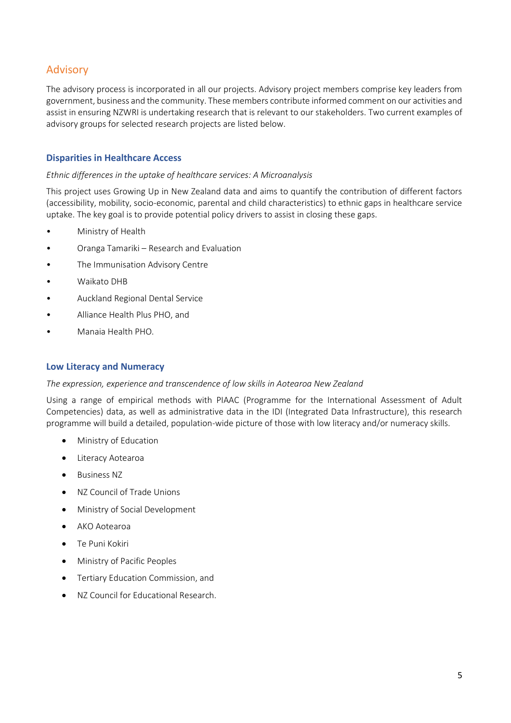## Advisory

The advisory process is incorporated in all our projects. Advisory project members comprise key leaders from government, business and the community. These members contribute informed comment on our activities and assist in ensuring NZWRI is undertaking research that is relevant to our stakeholders. Two current examples of advisory groups for selected research projects are listed below.

#### **Disparities in Healthcare Access**

#### *Ethnic differences in the uptake of healthcare services: A Microanalysis*

This project uses Growing Up in New Zealand data and aims to quantify the contribution of different factors (accessibility, mobility, socio-economic, parental and child characteristics) to ethnic gaps in healthcare service uptake. The key goal is to provide potential policy drivers to assist in closing these gaps.

- Ministry of Health
- Oranga Tamariki Research and Evaluation
- The Immunisation Advisory Centre
- Waikato DHB
- Auckland Regional Dental Service
- Alliance Health Plus PHO, and
- Manaia Health PHO.

#### **Low Literacy and Numeracy**

#### *The expression, experience and transcendence of low skills in Aotearoa New Zealand*

Using a range of empirical methods with PIAAC (Programme for the International Assessment of Adult Competencies) data, as well as administrative data in the IDI (Integrated Data Infrastructure), this research programme will build a detailed, population-wide picture of those with low literacy and/or numeracy skills.

- Ministry of Education
- Literacy Aotearoa
- Business NZ
- NZ Council of Trade Unions
- Ministry of Social Development
- AKO Aotearoa
- Te Puni Kokiri
- Ministry of Pacific Peoples
- Tertiary Education Commission, and
- NZ Council for Educational Research.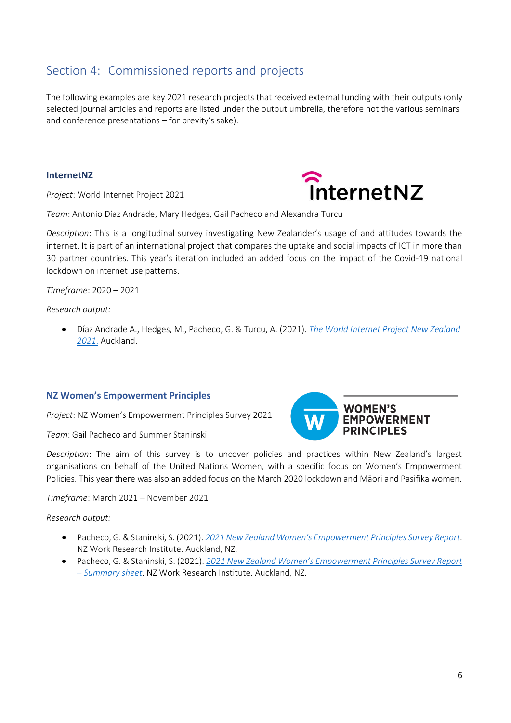## <span id="page-6-0"></span>Section 4: Commissioned reports and projects

The following examples are key 2021 research projects that received external funding with their outputs (only selected journal articles and reports are listed under the output umbrella, therefore not the various seminars and conference presentations – for brevity's sake).

#### **InternetNZ**

*Project*: World Internet Project 2021



*Team*: Antonio Díaz Andrade, Mary Hedges, Gail Pacheco and Alexandra Turcu

*Description*: This is a longitudinal survey investigating New Zealander's usage of and attitudes towards the internet. It is part of an international project that compares the uptake and social impacts of ICT in more than 30 partner countries. This year's iteration included an added focus on the impact of the Covid-19 national lockdown on internet use patterns.

*Timeframe*: 2020 – 2021

*Research output:* 

• Díaz Andrade A., Hedges, M., Pacheco, G. & Turcu, A. (2021). *[The World Internet Project New Zealand](https://workresearch.aut.ac.nz/__data/assets/pdf_file/0007/571129/WIP-2021-Final_Nov.pdf)  [2021](https://workresearch.aut.ac.nz/__data/assets/pdf_file/0007/571129/WIP-2021-Final_Nov.pdf)*. Auckland.

#### **NZ Women's Empowerment Principles**

*Project*: NZ Women's Empowerment Principles Survey 2021

*Team*: Gail Pacheco and Summer Staninski



*Description*: The aim of this survey is to uncover policies and practices within New Zealand's largest organisations on behalf of the United Nations Women, with a specific focus on Women's Empowerment Policies. This year there was also an added focus on the March 2020 lockdown and Māori and Pasifika women.

*Timeframe*: March 2021 – November 2021

*Research output:* 

- Pacheco, G. & Staninski, S. (2021). *[2021 New Zealand Women's Empowerment Principles Survey Report](https://workresearch.aut.ac.nz/__data/assets/pdf_file/0010/569296/UNWEPS_report_Final.pdf)*. NZ Work Research Institute. Auckland, NZ.
- Pacheco, G. & Staninski, S. (2021). *[2021 New Zealand Women's Empowerment Principles Survey Report](https://workresearch.aut.ac.nz/__data/assets/pdf_file/0014/580010/WEPS-handout-2021_final-update_v2.pdf)  – [Summary sheet](https://workresearch.aut.ac.nz/__data/assets/pdf_file/0014/580010/WEPS-handout-2021_final-update_v2.pdf)*. NZ Work Research Institute. Auckland, NZ.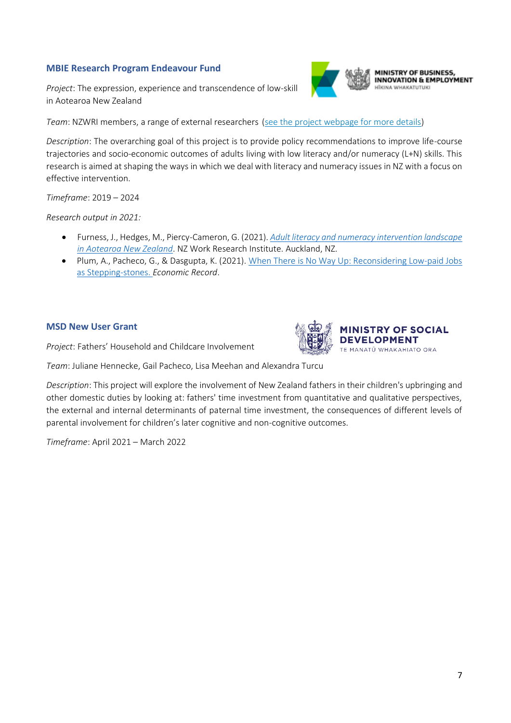#### **MBIE Research Program Endeavour Fund**

*Project*: The expression, experience and transcendence of low-skill in Aotearoa New Zealand



MINISTRY OF BUSINESS, **INNOVATION & EMPLOYMENT** 

*Team*: NZWRI members, a range of external researchers [\(see the project webpage for more details\)](https://workresearch.aut.ac.nz/research/low-literacy-and-numeracy-research)

*Description*: The overarching goal of this project is to provide policy recommendations to improve life-course trajectories and socio-economic outcomes of adults living with low literacy and/or numeracy (L+N) skills. This research is aimed at shaping the ways in which we deal with literacy and numeracy issues in NZ with a focus on effective intervention.

*Timeframe*: 2019 – 2024

*Research output in 2021:*

- Furness, J., Hedges, M., Piercy-Cameron, G. (2021). *[Adult literacy and numeracy intervention landscape](https://workresearch.aut.ac.nz/__data/assets/pdf_file/0004/549607/ADULT-LITERACY-AND-NUMERACY-INTERVENTION-LANDSCAPE-IN-AOTEAROA-NEW-ZEALAND_3.pdf)  [in Aotearoa New Zealand](https://workresearch.aut.ac.nz/__data/assets/pdf_file/0004/549607/ADULT-LITERACY-AND-NUMERACY-INTERVENTION-LANDSCAPE-IN-AOTEAROA-NEW-ZEALAND_3.pdf)*. NZ Work Research Institute. Auckland, NZ.
- Plum, A., Pacheco, G., & Dasgupta, K. (2021). [When There is No Way Up: Reconsidering Low‐paid Jobs](https://workresearch.aut.ac.nz/__data/assets/pdf_file/0008/522791/Reconsidering-Low-Paid-jobs-as-stepping-stones.pdf)  a[s Stepping‐stones.](https://workresearch.aut.ac.nz/__data/assets/pdf_file/0008/522791/Reconsidering-Low-Paid-jobs-as-stepping-stones.pdf) *Economic Record*.

#### **MSD New User Grant**

*Project*: Fathers' Household and Childcare Involvement

*Team*: Juliane Hennecke, Gail Pacheco, Lisa Meehan and Alexandra Turcu

*Description*: This project will explore the involvement of New Zealand fathers in their children's upbringing and other domestic duties by looking at: fathers' time investment from quantitative and qualitative perspectives, the external and internal determinants of paternal time investment, the consequences of different levels of parental involvement for children's later cognitive and non-cognitive outcomes.

*Timeframe*: April 2021 – March 2022

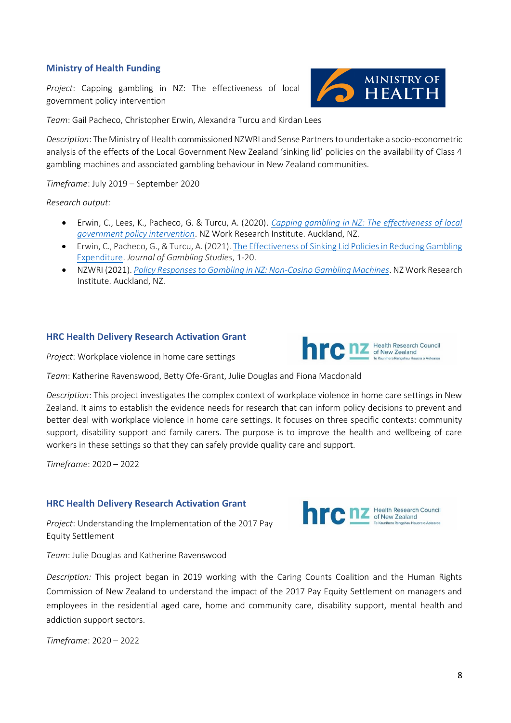#### **Ministry of Health Funding**

*Project*: Capping gambling in NZ: The effectiveness of local government policy intervention



*Team*: Gail Pacheco, Christopher Erwin, Alexandra Turcu and Kirdan Lees

*Description*: The Ministry of Health commissioned NZWRI and Sense Partners to undertake a socio-econometric analysis of the effects of the Local Government New Zealand 'sinking lid' policies on the availability of Class 4 gambling machines and associated gambling behaviour in New Zealand communities.

*Timeframe*: July 2019 – September 2020

*Research output:* 

- Erwin, C., Lees, K., Pacheco, G. & Turcu, A. (2020). *[Capping gambling in NZ: The effectiveness of local](https://workresearch.aut.ac.nz/__data/assets/pdf_file/0009/551844/CAPPING-GAMBLING-IN-NZ1.pdf)  [government policy intervention](https://workresearch.aut.ac.nz/__data/assets/pdf_file/0009/551844/CAPPING-GAMBLING-IN-NZ1.pdf)*. NZ Work Research Institute. Auckland, NZ.
- Erwin, C., Pacheco, G., & Turcu, A. (2021)[. The Effectiveness of Sinking Lid Policies in Reducing Gambling](https://link.springer.com/article/10.1007/s10899-021-10069-4)  [Expenditure.](https://link.springer.com/article/10.1007/s10899-021-10069-4) *Journal of Gambling Studies*, 1-20.
- NZWRI (2021). *[Policy Responses to Gambling in NZ: Non-Casino Gambling Machines](https://workresearch.aut.ac.nz/__data/assets/pdf_file/0008/569285/Gambling_oct21.pdf)*. NZ Work Research Institute. Auckland, NZ.

#### **HRC Health Delivery Research Activation Grant**



*Project*: Workplace violence in home care settings

*Team*: Katherine Ravenswood, Betty Ofe-Grant, Julie Douglas and Fiona Macdonald

*Description*: This project investigates the complex context of workplace violence in home care settings in New Zealand. It aims to establish the evidence needs for research that can inform policy decisions to prevent and better deal with workplace violence in home care settings. It focuses on three specific contexts: community support, disability support and family carers. The purpose is to improve the health and wellbeing of care workers in these settings so that they can safely provide quality care and support.

*Timeframe*: 2020 – 2022

#### **HRC Health Delivery Research Activation Grant**

*Project*: Understanding the Implementation of the 2017 Pay Equity Settlement

*Team*: Julie Douglas and Katherine Ravenswood



**DIC DZ** Health Research Council

*Description:* This project began in 2019 working with the Caring Counts Coalition and the Human Rights Commission of New Zealand to understand the impact of the 2017 Pay Equity Settlement on managers and employees in the residential aged care, home and community care, disability support, mental health and addiction support sectors.

*Timeframe*: 2020 – 2022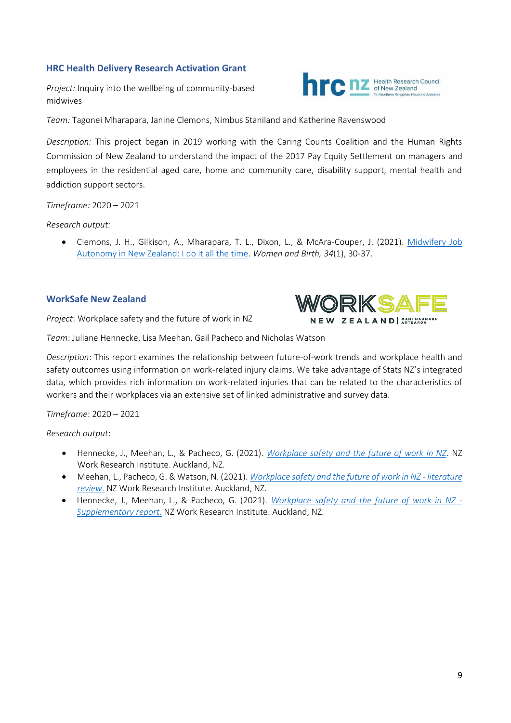#### **HRC Health Delivery Research Activation Grant**

*Project:* Inquiry into the wellbeing of community-based midwives

*Team:* Tagonei Mharapara, Janine Clemons, Nimbus Staniland and Katherine Ravenswood

*Description:* This project began in 2019 working with the Caring Counts Coalition and the Human Rights Commission of New Zealand to understand the impact of the 2017 Pay Equity Settlement on managers and employees in the residential aged care, home and community care, disability support, mental health and addiction support sectors.

*Timeframe:* 2020 – 2021

*Research output:*

• Clemons, J. H., Gilkison, A., Mharapara, T. L., Dixon, L., & McAra-Couper, J. (2021). [Midwifery Job](https://reader.elsevier.com/reader/sd/pii/S1871519220303218?token=0FB56D1270B1BFC42CEE4AA8FE6498206B0533A54CEF0D306720B60DAD648BF3C45B7A421FEF591BD60F231CADA120FE&originRegion=us-east-1&originCreation=20220208214323)  [Autonomy in New Zealand: I do it all the time.](https://reader.elsevier.com/reader/sd/pii/S1871519220303218?token=0FB56D1270B1BFC42CEE4AA8FE6498206B0533A54CEF0D306720B60DAD648BF3C45B7A421FEF591BD60F231CADA120FE&originRegion=us-east-1&originCreation=20220208214323) *Women and Birth, 34*(1), 30-37.

#### **WorkSafe New Zealand**

*Project*: Workplace safety and the future of work in NZ



**DIC DZ** Health Research Council

*Team*: Juliane Hennecke, Lisa Meehan, Gail Pacheco and Nicholas Watson

*Description*: This report examines the relationship between future-of-work trends and workplace health and safety outcomes using information on work-related injury claims. We take advantage of Stats NZ's integrated data, which provides rich information on work-related injuries that can be related to the characteristics of workers and their workplaces via an extensive set of linked administrative and survey data.

*Timeframe*: 2020 – 2021

*Research output*:

- Hennecke, J., Meehan, L., & Pacheco, G. (2021). *[Workplace safety and the future of work in NZ](https://workresearch.aut.ac.nz/__data/assets/pdf_file/0010/527824/NZWRI-WorkSafe-report-final-Feb-2021-final-report-v2.pdf)*. NZ Work Research Institute. Auckland, NZ.
- Meehan, L., Pacheco, G. & Watson, N. (2021). *[Workplace safety and the future of](https://workresearch.aut.ac.nz/__data/assets/pdf_file/0009/527823/NZWRI-WorkSafe-literature-review-Feb-2021-final-v2.pdf) work in NZ - literature [review](https://workresearch.aut.ac.nz/__data/assets/pdf_file/0009/527823/NZWRI-WorkSafe-literature-review-Feb-2021-final-v2.pdf)*. NZ Work Research Institute. Auckland, NZ.
- Hennecke, J., Meehan, L., & Pacheco, G. (2021). *[Workplace safety and the future of work in NZ -](https://workresearch.aut.ac.nz/__data/assets/pdf_file/0011/527825/NZWRI-WorkSafe-SUPPLEMENTARY-report-final-Feb-2021-v2.pdf) [Supplementary report](https://workresearch.aut.ac.nz/__data/assets/pdf_file/0011/527825/NZWRI-WorkSafe-SUPPLEMENTARY-report-final-Feb-2021-v2.pdf)*. NZ Work Research Institute. Auckland, NZ.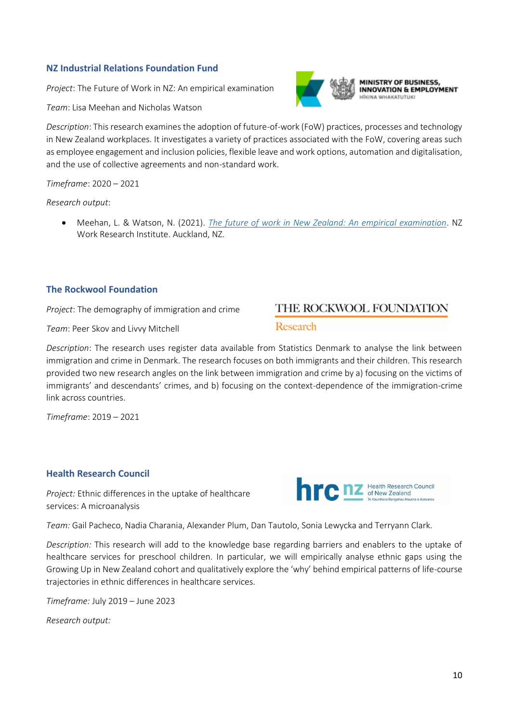#### **NZ Industrial Relations Foundation Fund**

*Project*: The Future of Work in NZ: An empirical examination

*Team*: Lisa Meehan and Nicholas Watson

*Description*: This research examines the adoption of future-of-work (FoW) practices, processes and technology in New Zealand workplaces. It investigates a variety of practices associated with the FoW, covering areas such as employee engagement and inclusion policies, flexible leave and work options, automation and digitalisation, and the use of collective agreements and non-standard work.

*Timeframe*: 2020 – 2021

*Research output*:

• Meehan, L. & Watson, N. (2021). *[The future of work in New Zealand: An empirical examination](https://workresearch.aut.ac.nz/__data/assets/pdf_file/0004/500278/NZWRI-IRF-report-Mar-19-final.pdf)*. NZ Work Research Institute. Auckland, NZ.

#### **The Rockwool Foundation**

*Project*: The demography of immigration and crime

*Team*: Peer Skov and Livvy Mitchell

*Description*: The research uses register data available from Statistics Denmark to analyse the link between immigration and crime in Denmark. The research focuses on both immigrants and their children. This research provided two new research angles on the link between immigration and crime by a) focusing on the victims of immigrants' and descendants' crimes, and b) focusing on the context-dependence of the immigration-crime link across countries.

*Timeframe*: 2019 – 2021

#### **Health Research Council**

*Project:* Ethnic differences in the uptake of healthcare services: A microanalysis

*Team:* Gail Pacheco, Nadia Charania, Alexander Plum, Dan Tautolo, Sonia Lewycka and Terryann Clark.

*Description:* This research will add to the knowledge base regarding barriers and enablers to the uptake of healthcare services for preschool children. In particular, we will empirically analyse ethnic gaps using the Growing Up in New Zealand cohort and qualitatively explore the 'why' behind empirical patterns of life-course trajectories in ethnic differences in healthcare services.

*Timeframe:* July 2019 – June 2023

*Research output:* 

## THE ROCKWOOL FOUNDATION

#### Research





MINISTRY OF BUSINESS, **INNOVATION & EMPLOYMENT ITKINA WHAKATUTUKI**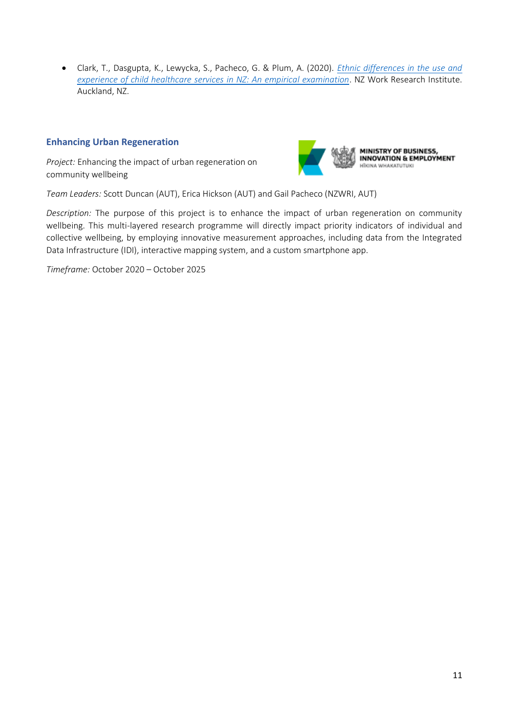• Clark, T., Dasgupta, K., Lewycka, S., Pacheco, G. & Plum, A. (2020). *[Ethnic differences in the use and](https://workresearch.aut.ac.nz/__data/assets/pdf_file/0010/483319/report-final-final-2Dec2020.pdf)  [experience of child healthcare services](https://workresearch.aut.ac.nz/__data/assets/pdf_file/0010/483319/report-final-final-2Dec2020.pdf) in NZ: An empirical examination*. NZ Work Research Institute. Auckland, NZ.

#### **Enhancing Urban Regeneration**

*Project:* Enhancing the impact of urban regeneration on community wellbeing



*Team Leaders:* Scott Duncan (AUT), Erica Hickson (AUT) and Gail Pacheco (NZWRI, AUT)

*Description:* The purpose of this project is to enhance the impact of urban regeneration on community wellbeing. This multi-layered research programme will directly impact priority indicators of individual and collective wellbeing, by employing innovative measurement approaches, including data from the Integrated Data Infrastructure (IDI), interactive mapping system, and a custom smartphone app.

*Timeframe:* October 2020 – October 2025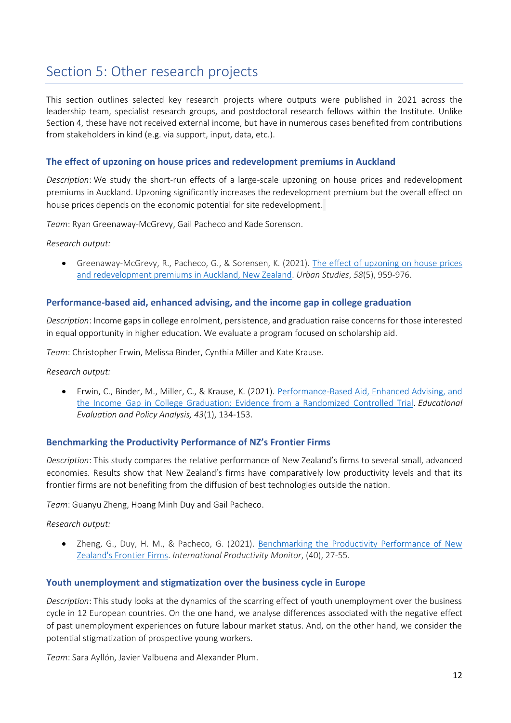## <span id="page-12-0"></span>Section 5: Other research projects

This section outlines selected key research projects where outputs were published in 2021 across the leadership team, specialist research groups, and postdoctoral research fellows within the Institute. Unlike Section 4, these have not received external income, but have in numerous cases benefited from contributions from stakeholders in kind (e.g. via support, input, data, etc.).

#### **The effect of upzoning on house prices and redevelopment premiums in Auckland**

*Description*: We study the short-run effects of a large-scale upzoning on house prices and redevelopment premiums in Auckland. Upzoning significantly increases the redevelopment premium but the overall effect on house prices depends on the economic potential for site redevelopment.

*Team*: Ryan Greenaway-McGrevy, Gail Pacheco and Kade Sorenson.

*Research output:* 

• Greenaway-McGrevy, R., Pacheco, G., & Sorensen, K. (2021). [The effect of upzoning on house prices](https://journals.sagepub.com/doi/full/10.1177/0042098020940602)  [and redevelopment premiums in Auckland, New Zealand.](https://journals.sagepub.com/doi/full/10.1177/0042098020940602) *Urban Studies*, *58*(5), 959-976.

#### **Performance-based aid, enhanced advising, and the income gap in college graduation**

*Description*: Income gaps in college enrolment, persistence, and graduation raise concerns for those interested in equal opportunity in higher education. We evaluate a program focused on scholarship aid.

*Team*: Christopher Erwin, Melissa Binder, Cynthia Miller and Kate Krause.

*Research output:* 

• Erwin, C., Binder, M., Miller, C., & Krause, K. (2021). [Performance-Based Aid, Enhanced Advising, and](https://journals.sagepub.com/doi/full/10.3102/0162373720979180)  the Income [Gap in College Graduation: Evidence from](https://journals.sagepub.com/doi/full/10.3102/0162373720979180) a Randomized Controlled Trial. *Educational Evaluation and Policy Analysis, 43*(1), 134-153.

#### **Benchmarking the Productivity Performance of NZ's Frontier Firms**

*Description*: This study compares the relative performance of New Zealand's firms to several small, advanced economies. Results show that New Zealand's firms have comparatively low productivity levels and that its frontier firms are not benefiting from the diffusion of best technologies outside the nation.

*Team*: Guanyu Zheng, Hoang Minh Duy and Gail Pacheco.

*Research output:* 

• Zheng, G., Duy, H. M., & Pacheco, G. (2021). [Benchmarking the Productivity Performance of New](https://econpapers.repec.org/article/slsipmsls/v_3a40_3ay_3a2021_3a2.htm)  [Zealand's Frontier Firms.](https://econpapers.repec.org/article/slsipmsls/v_3a40_3ay_3a2021_3a2.htm) *International Productivity Monitor*, (40), 27-55.

#### **Youth unemployment and stigmatization over the business cycle in Europe**

*Description*: This study looks at the dynamics of the scarring effect of youth unemployment over the business cycle in 12 European countries. On the one hand, we analyse differences associated with the negative effect of past unemployment experiences on future labour market status. And, on the other hand, we consider the potential stigmatization of prospective young workers.

*Team*: Sara Ayllón, Javier Valbuena and Alexander Plum.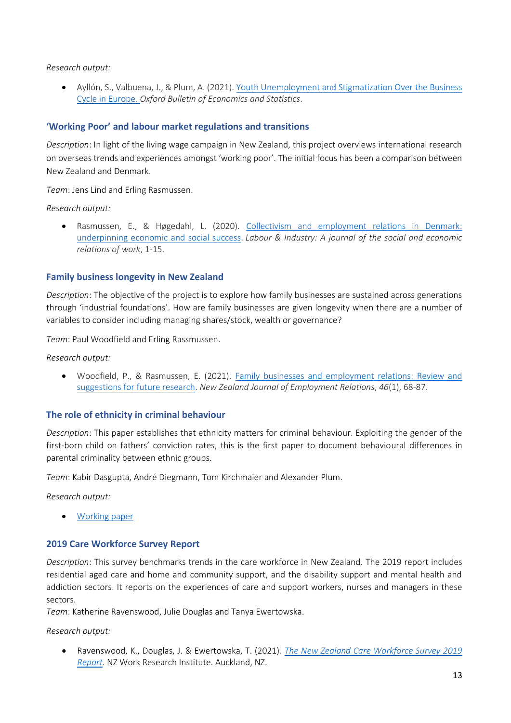*Research output:* 

• Ayllón, S., Valbuena, J., & Plum, A. (2021). [Youth Unemployment and Stigmatization Over the Business](https://onlinelibrary.wiley.com/doi/full/10.1111/obes.12445)  [Cycle in Europe.](https://onlinelibrary.wiley.com/doi/full/10.1111/obes.12445) *Oxford Bulletin of Economics and Statistics*.

#### **'Working Poor' and labour market regulations and transitions**

*Description*: In light of the living wage campaign in New Zealand, this project overviews international research on overseas trends and experiences amongst 'working poor'. The initial focus has been a comparison between New Zealand and Denmark.

*Team*: Jens Lind and Erling Rasmussen.

*Research output:* 

• Rasmussen, E., & Høgedahl, L. (2020). [Collectivism and employment relations in Denmark:](https://www.tandfonline.com/doi/full/10.1080/10301763.2020.1856619)  [underpinning economic and social success.](https://www.tandfonline.com/doi/full/10.1080/10301763.2020.1856619) *Labour & Industry: A journal of the social and economic relations of work*, 1-15.

#### **Family business longevity in New Zealand**

*Description*: The objective of the project is to explore how family businesses are sustained across generations through 'industrial foundations'. How are family businesses are given longevity when there are a number of variables to consider including managing shares/stock, wealth or governance?

*Team*: Paul Woodfield and Erling Rassmussen.

*Research output:* 

• Woodfield, P., & Rasmussen, E. (2021). [Family businesses and employment relations: Review and](https://openrepository.aut.ac.nz/handle/10292/14634)  [suggestions for future research.](https://openrepository.aut.ac.nz/handle/10292/14634) *New Zealand Journal of Employment Relations*, *46*(1), 68-87.

#### **The role of ethnicity in criminal behaviour**

*Description*: This paper establishes that ethnicity matters for criminal behaviour. Exploiting the gender of the first-born child on fathers' conviction rates, this is the first paper to document behavioural differences in parental criminality between ethnic groups.

*Team*: Kabir Dasgupta, André Diegmann, Tom Kirchmaier and Alexander Plum.

*Research output:* 

• [Working paper](https://workresearch.aut.ac.nz/__data/assets/pdf_file/0020/523055/Role-of-ethnicity-in-criminal-behaviour.pdf)

#### **2019 Care Workforce Survey Report**

*Description*: This survey benchmarks trends in the care workforce in New Zealand. The 2019 report includes residential aged care and home and community support, and the disability support and mental health and addiction sectors. It reports on the experiences of care and support workers, nurses and managers in these sectors.

*Team*: Katherine Ravenswood, Julie Douglas and Tanya Ewertowska.

*Research output:* 

• Ravenswood, K., Douglas, J. & Ewertowska, T. (2021). *[The New Zealand Care Workforce Survey 2019](https://workresearch.aut.ac.nz/__data/assets/pdf_file/0003/504093/Care-Workforce-Survey-2019-Report-edited.pdf)  [Report](https://workresearch.aut.ac.nz/__data/assets/pdf_file/0003/504093/Care-Workforce-Survey-2019-Report-edited.pdf)*. NZ Work Research Institute. Auckland, NZ.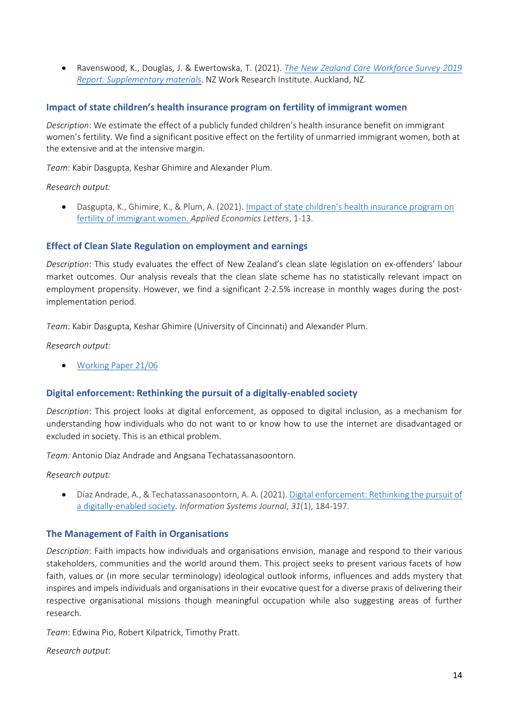• Ravenswood, K., Douglas, J. & Ewertowska, T. (2021). *[The New Zealand Care Workforce Survey 2019](https://workresearch.aut.ac.nz/__data/assets/pdf_file/0009/549666/The-New-Zealand-Care-Workforce-Survey-2019-Supplementary-Data1.pdf)  [Report: Supplementary materials](https://workresearch.aut.ac.nz/__data/assets/pdf_file/0009/549666/The-New-Zealand-Care-Workforce-Survey-2019-Supplementary-Data1.pdf)*. NZ Work Research Institute. Auckland, NZ.

#### **Impact of state children's health insurance program on fertility of immigrant women**

*Description*: We estimate the effect of a publicly funded children's health insurance benefit on immigrant women's fertility. We find a significant positive effect on the fertility of unmarried immigrant women, both at the extensive and at the intensive margin.

*Team*: Kabir Dasgupta, Keshar Ghimire and Alexander Plum.

*Research output:* 

• Dasgupta, K., Ghimire, K., & Plum, A. (2021). [Impact of state children's health insura](https://workresearch.aut.ac.nz/__data/assets/pdf_file/0020/535115/Impact-of-state-children-s-health-insurance-program-on-fertility-of-immigrant-women.pdf)nce program on [fertility of immigrant women.](https://workresearch.aut.ac.nz/__data/assets/pdf_file/0020/535115/Impact-of-state-children-s-health-insurance-program-on-fertility-of-immigrant-women.pdf) *Applied Economics Letters*, 1-13.

#### **Effect of Clean Slate Regulation on employment and earnings**

*Description*: This study evaluates the effect of New Zealand's clean slate legislation on ex-offenders' labour market outcomes. Our analysis reveals that the clean slate scheme has no statistically relevant impact on employment propensity. However, we find a significant 2-2.5% increase in monthly wages during the postimplementation period.

*Team*: Kabir Dasgupta, Keshar Ghimire (University of Cincinnati) and Alexander Plum.

*Research output:* 

• [Working Paper 21/06](https://workresearch.aut.ac.nz/__data/assets/pdf_file/0011/538661/Working-paper-21_06_update.pdf)

#### **Digital enforcement: Rethinking the pursuit of a digitally-enabled society**

*Description*: This project looks at digital enforcement, as opposed to digital inclusion, as a mechanism for understanding how individuals who do not want to or know how to use the internet are disadvantaged or excluded in society. This is an ethical problem.

*Team:* Antonio Díaz Andrade and Angsana Techatassanasoontorn.

*Research output:*

• Díaz Andrade, A., & Techatassanasoontorn, A. A. (2021). [Digital enforcement: Rethinking the pursuit of](https://onlinelibrary.wiley.com/doi/full/10.1111/isj.12306)  [a digitally‐enabled society](https://onlinelibrary.wiley.com/doi/full/10.1111/isj.12306). *Information Systems Journal*, *31*(1), 184-197.

#### **The Management of Faith in Organisations**

*Description*: Faith impacts how individuals and organisations envision, manage and respond to their various stakeholders, communities and the world around them. This project seeks to present various facets of how faith, values or (in more secular terminology) ideological outlook informs, influences and adds mystery that inspires and impels individuals and organisations in their evocative quest for a diverse praxis of delivering their respective organisational missions though meaningful occupation while also suggesting areas of further research.

*Team*: Edwina Pio, Robert Kilpatrick, Timothy Pratt.

*Research output*: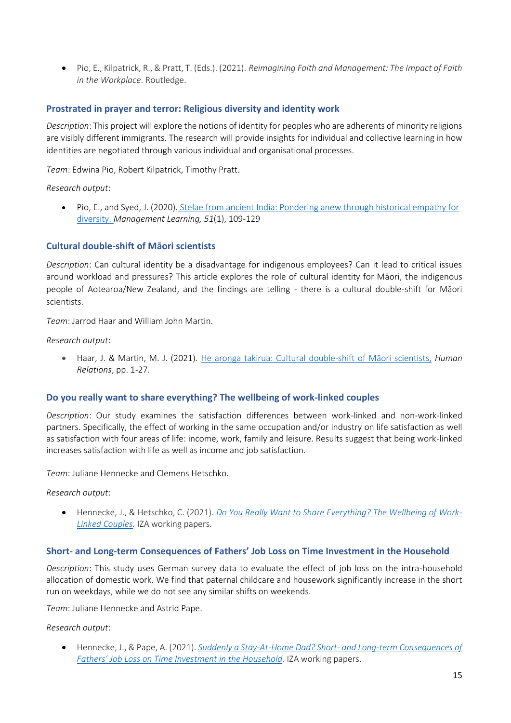• Pio, E., Kilpatrick, R., & Pratt, T. (Eds.). (2021). *Reimagining Faith and Management: The Impact of Faith in the Workplace*. Routledge.

#### **Prostrated in prayer and terror: Religious diversity and identity work**

*Description*: This project will explore the notions of identity for peoples who are adherents of minority religions are visibly different immigrants. The research will provide insights for individual and collective learning in how identities are negotiated through various individual and organisational processes.

*Team*: Edwina Pio, Robert Kilpatrick, Timothy Pratt.

*Research output*:

• Pio, E., and Syed, J. (2020). [Stelae from ancient India: Pondering anew through historical empathy for](https://www.researchgate.net/publication/333174752_Stelae_from_ancient_India_Pondering_anew_through_historical_empathy_for_diversity)  [diversity.](https://www.researchgate.net/publication/333174752_Stelae_from_ancient_India_Pondering_anew_through_historical_empathy_for_diversity) *Management Learning, 51*(1), 109-129

#### **Cultural double-shift of Māori scientists**

*Description*: Can cultural identity be a disadvantage for indigenous employees? Can it lead to critical issues around workload and pressures? This article explores the role of cultural identity for Māori, the indigenous people of Aotearoa/New Zealand, and the findings are telling - there is a cultural double-shift for Māori scientists.

*Team*: Jarrod Haar and William John Martin.

#### *Research output*:

• Haar, J. & Martin, M. J. (2021). [He aronga takirua: Cultural double-](https://www.researchgate.net/publication/349898184_EXPRESS_He_Aronga_Takirua_Cultural_Double_Shifting_of_Maori_Scientists)shift of Māori scientists, *Human Relations*, pp. 1-27.

#### **Do you really want to share everything? The wellbeing of work-linked couples**

*Description*: Our study examines the satisfaction differences between work-linked and non-work-linked partners. Specifically, the effect of working in the same occupation and/or industry on life satisfaction as well as satisfaction with four areas of life: income, work, family and leisure. Results suggest that being work-linked increases satisfaction with life as well as income and job satisfaction.

*Team*: Juliane Hennecke and Clemens Hetschko.

#### *Research output*:

• Hennecke, J., & Hetschko, C. (2021). *[Do You Really Want to Share Everything? The Wellbeing of Work-](https://workresearch.aut.ac.nz/__data/assets/pdf_file/0004/502906/Working-paper-21_03.pdf)[Linked Couples.](https://workresearch.aut.ac.nz/__data/assets/pdf_file/0004/502906/Working-paper-21_03.pdf)* IZA working papers.

#### **Short- and Long-term Consequences of Fathers' Job Loss on Time Investment in the Household**

*Description*: This study uses German survey data to evaluate the effect of job loss on the intra-household allocation of domestic work. We find that paternal childcare and housework significantly increase in the short run on weekdays, while we do not see any similar shifts on weekends.

*Team*: Juliane Hennecke and Astrid Pape.

#### *Research output*:

• Hennecke, J., & Pape, A. (2021). *[Suddenly a Stay-At-Home Dad? Short-](https://docs.iza.org/dp13866.pdf) and Long-term Consequences of [Fathers' Job Loss on Time Inves](https://docs.iza.org/dp13866.pdf)tment in the Household.* IZA working papers.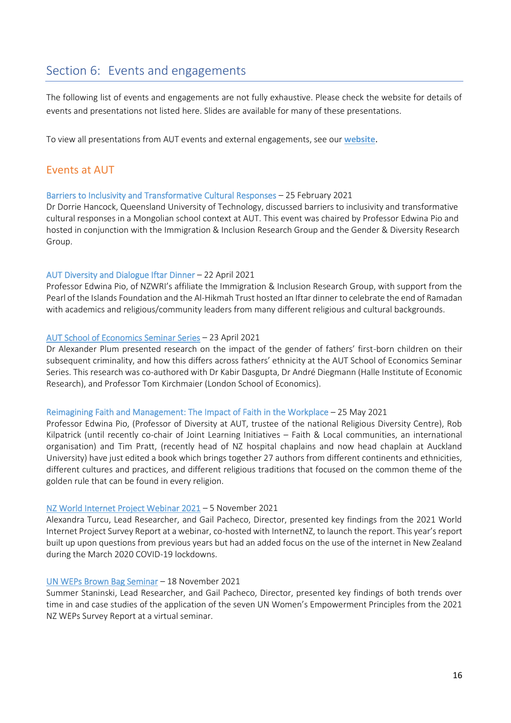## <span id="page-16-0"></span>Section 6: Events and engagements

The following list of events and engagements are not fully exhaustive. Please check the website for details of events and presentations not listed here. Slides are available for many of these presentations.

To view all presentations from AUT events and external engagements, see our **[website](https://workresearch.aut.ac.nz/reports-and-projects/papers-and-presentations)**.

#### Events at AUT

#### Barriers to Inclusivity and Transformative Cultural Responses – 25 February 2021

Dr Dorrie Hancock, Queensland University of Technology, discussed barriers to inclusivity and transformative cultural responses in a Mongolian school context at AUT. This event was chaired by Professor Edwina Pio and hosted in conjunction with the Immigration & Inclusion Research Group and the Gender & Diversity Research Group.

#### AUT Diversity and Dialogue Iftar Dinner – 22 April 2021

Professor Edwina Pio, of NZWRI's affiliate the Immigration & Inclusion Research Group, with support from the Pearl of the Islands Foundation and the Al-Hikmah Trust hosted an Iftar dinner to celebrate the end of Ramadan with academics and religious/community leaders from many different religious and cultural backgrounds.

#### [AUT School of Economics Seminar Series](https://workresearch.aut.ac.nz/__data/assets/pdf_file/0017/507401/Presentation__The_Role_of_Ethnicity_in_Criminal_Behavior_SchoolofEconomics_21.pdf) – 23 April 2021

Dr Alexander Plum presented research on the impact of the gender of fathers' first-born children on their subsequent criminality, and how this differs across fathers' ethnicity at the AUT School of Economics Seminar Series. This research was co-authored with Dr Kabir Dasgupta, Dr André Diegmann (Halle Institute of Economic Research), and Professor Tom Kirchmaier (London School of Economics).

#### Reimagining Faith and Management: The Impact of Faith in the Workplace – 25 May 2021

Professor Edwina Pio, (Professor of Diversity at AUT, trustee of the national Religious Diversity Centre), Rob Kilpatrick (until recently co-chair of Joint Learning Initiatives – Faith & Local communities, an international organisation) and Tim Pratt, (recently head of NZ hospital chaplains and now head chaplain at Auckland University) have just edited a book which brings together 27 authors from different continents and ethnicities, different cultures and practices, and different religious traditions that focused on the common theme of the golden rule that can be found in every religion.

#### [NZ World Internet Project Webinar 2021](https://workresearch.aut.ac.nz/__data/assets/pdf_file/0008/571409/WIPNZ-2021-November-2021-Launch-Read-Only.pdf) – 5 November 2021

Alexandra Turcu, Lead Researcher, and Gail Pacheco, Director, presented key findings from the 2021 World Internet Project Survey Report at a webinar, co-hosted with InternetNZ, to launch the report. This year's report built up upon questions from previous years but had an added focus on the use of the internet in New Zealand during the March 2020 COVID-19 lockdowns.

#### [UN WEPs Brown Bag Seminar](https://workresearch.aut.ac.nz/__data/assets/pdf_file/0020/582212/WEPs_brownbag_v2.pdf) – 18 November 2021

Summer Staninski, Lead Researcher, and Gail Pacheco, Director, presented key findings of both trends over time in and case studies of the application of the seven UN Women's Empowerment Principles from the 2021 NZ WEPs Survey Report at a virtual seminar.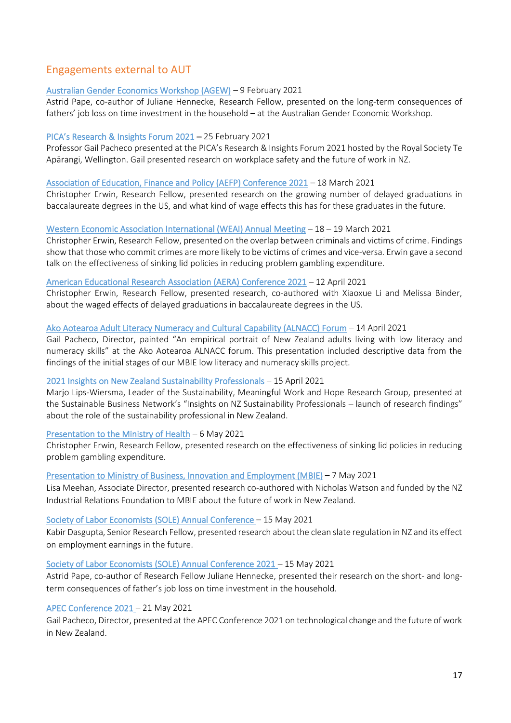## Engagements external to AUT

#### [Australian Gender Economics Workshop \(AGEW\)](https://workresearch.aut.ac.nz/__data/assets/pdf_file/0019/500509/Presentation-Astris-Pape-AGEW-2021.pdf) – 9 February 2021

Astrid Pape, co-author of Juliane Hennecke, Research Fellow, presented on the long-term consequences of fathers' job loss on time investment in the household – at the Australian Gender Economic Workshop.

#### PICA's Research & Insights Forum 2021 – 25 February 2021

Professor Gail Pacheco presented at the PICA's Research & Insights Forum 2021 hosted by the Royal Society Te Apārangi, Wellington. Gail presented research on workplace safety and the future of work in NZ.

#### [Association of Education, Finance and Policy \(AEFP\) Conference 2021](https://workresearch.aut.ac.nz/__data/assets/pdf_file/0010/500788/Erwin_AEFP_2021.pdf) – 18 March 2021

Christopher Erwin, Research Fellow, presented research on the growing number of delayed graduations in baccalaureate degrees in the US, and what kind of wage effects this has for these graduates in the future.

#### [Western Economic Association International \(WEAI\) Annual Meeting](https://workresearch.aut.ac.nz/__data/assets/pdf_file/0016/501514/Erwin_VictimOffenderOverlap1.pdf) – 18 – 19 March 2021

Christopher Erwin, Research Fellow, presented on the overlap between criminals and victims of crime. Findings show that those who commit crimes are more likely to be victims of crimes and vice-versa. Erwin gave a second talk on the effectiveness of sinking lid policies in reducing problem gambling expenditure.

#### [American Educational Research Association \(AERA\) Conference 2021](https://workresearch.aut.ac.nz/__data/assets/pdf_file/0010/500788/Erwin_AEFP_2021.pdf) – 12 April 2021

Christopher Erwin, Research Fellow, presented research, co-authored with Xiaoxue Li and Melissa Binder, about the waged effects of delayed graduations in baccalaureate degrees in the US.

#### [Ako Aotearoa Adult Literacy Numeracy and Cultural Capability \(ALNACC\) Forum](https://workresearch.aut.ac.nz/__data/assets/pdf_file/0007/505618/ALNAAC-presentation-14Apr2021.pdf) – 14 April 2021

Gail Pacheco, Director, painted "An empirical portrait of New Zealand adults living with low literacy and numeracy skills" at the Ako Aotearoa ALNACC forum. This presentation included descriptive data from the findings of the initial stages of our MBIE low literacy and numeracy skills project.

#### 2021 Insights on New Zealand Sustainability Professionals – 15 April 2021

Marjo Lips-Wiersma, Leader of the Sustainability, Meaningful Work and Hope Research Group, presented at the Sustainable Business Network's "Insights on NZ Sustainability Professionals – launch of research findings" about the role of the sustainability professional in New Zealand.

#### [Presentation to the Ministry of Health](https://workresearch.aut.ac.nz/__data/assets/pdf_file/0011/513965/Erwin_problem_gambling_2021_websitecopy.pdf) – 6 May 2021

Christopher Erwin, Research Fellow, presented research on the effectiveness of sinking lid policies in reducing problem gambling expenditure.

#### [Presentation to Ministry of Business, Innovation and Employment \(MBIE\)](https://workresearch.aut.ac.nz/__data/assets/pdf_file/0017/510137/NZWRI-IRF-presentation-MBIE-7-May-2021-3.pdf) – 7 May 2021

Lisa Meehan, Associate Director, presented research co-authored with Nicholas Watson and funded by the NZ Industrial Relations Foundation to MBIE about the future of work in New Zealand.

#### [Society of Labor Economists \(SOLE\) Annual Conference](https://workresearch.aut.ac.nz/__data/assets/pdf_file/0019/513703/SOLE_Template.pdf) – 15 May 2021

Kabir Dasgupta, Senior Research Fellow, presented research about the clean slate regulation in NZ and its effect on employment earnings in the future.

#### [Society of Labor Economists \(SOLE\) Annual Conference 2021](https://workresearch.aut.ac.nz/__data/assets/pdf_file/0008/515771/stay_at_home_dad.pdf) – 15 May 2021

Astrid Pape, co-author of Research Fellow Juliane Hennecke, presented their research on the short- and longterm consequences of father's job loss on time investment in the household.

#### APEC Conference 2021 – 21 May 2021

Gail Pacheco, Director, presented at the APEC Conference 2021 on technological change and the future of work in New Zealand.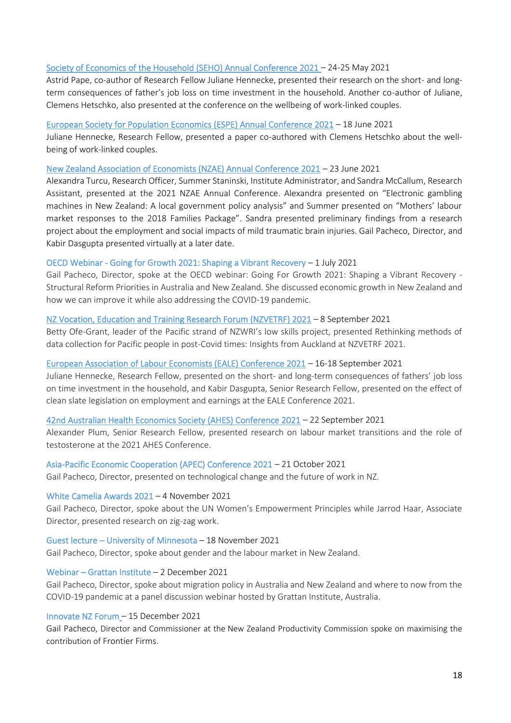#### [Society of Economics of the Household \(SEHO\) Annual Conference 2021](https://workresearch.aut.ac.nz/__data/assets/pdf_file/0008/515771/stay_at_home_dad.pdf) – 24-25 May 2021

Astrid Pape, co-author of Research Fellow Juliane Hennecke, presented their research on the short- and longterm consequences of father's job loss on time investment in the household. Another co-author of Juliane, Clemens Hetschko, also presented at the conference on the wellbeing of work-linked couples.

#### [European Society for Population Economics \(ESPE\) Annual Conference 2021](https://workresearch.aut.ac.nz/__data/assets/pdf_file/0009/522486/ESPE-2021-1.pdf) – 18 June 2021

Juliane Hennecke, Research Fellow, presented a paper co-authored with Clemens Hetschko about the wellbeing of work-linked couples.

#### [New Zealand Association of Economists \(NZAE\) Annual Conference 2021](https://workresearch.aut.ac.nz/__data/assets/pdf_file/0009/551997/Benchmarking-NZ-frontier-firms-NZAE.pdf) – 23 June 2021

Alexandra Turcu, Research Officer, Summer Staninski, Institute Administrator, and Sandra McCallum, Research Assistant, presented at the 2021 NZAE Annual Conference. Alexandra presented on "Electronic gambling machines in New Zealand: A local government policy analysis" and Summer presented on "Mothers' labour market responses to the 2018 Families Package". Sandra presented preliminary findings from a research project about the employment and social impacts of mild traumatic brain injuries. Gail Pacheco, Director, and Kabir Dasgupta presented virtually at a later date.

#### OECD Webinar - Going for Growth 2021: Shaping a Vibrant Recovery – 1 July 2021

Gail Pacheco, Director, spoke at the OECD webinar: Going For Growth 2021: Shaping a Vibrant Recovery - Structural Reform Priorities in Australia and New Zealand. She discussed economic growth in New Zealand and how we can improve it while also addressing the COVID-19 pandemic.

#### [NZ Vocation, Education and Training Research Forum \(NZVETRF\) 2021](https://workresearch.aut.ac.nz/__data/assets/pdf_file/0004/547753/Rethinking-methods-of-data-collection-for-Pacific-people_FINAL.pdf) – 8 September 2021

Betty Ofe-Grant, leader of the Pacific strand of NZWRI's low skills project, presented Rethinking methods of data collection for Pacific people in post-Covid times: Insights from Auckland at NZVETRF 2021.

#### [European Association of Labour Economists \(EALE\) Conference 2021](https://workresearch.aut.ac.nz/__data/assets/pdf_file/0020/554330/Juliane_EALE.pdf) – 16-18 September 2021

Juliane Hennecke, Research Fellow, presented on the short- and long-term consequences of fathers' job loss on time investment in the household, and Kabir Dasgupta, Senior Research Fellow, presented on the effect of clean slate legislation on employment and earnings at the EALE Conference 2021.

#### [42nd Australian Health Economics Society \(AHES\) Conference 2021](https://workresearch.aut.ac.nz/__data/assets/pdf_file/0009/554391/Presentation__Labour_market_dynamics_and_the_Role_of_Testosterone__AHES_-2.pdf) – 22 September 2021

Alexander Plum, Senior Research Fellow, presented research on labour market transitions and the role of testosterone at the 2021 AHES Conference.

#### Asia-Pacific Economic Cooperation (APEC) Conference 2021 – 21 October 2021

Gail Pacheco, Director, presented on technological change and the future of work in NZ.

#### White Camelia Awards 2021 – 4 November 2021

Gail Pacheco, Director, spoke about the UN Women's Empowerment Principles while Jarrod Haar, Associate Director, presented research on zig-zag work.

## Guest lecture – University of Minnesota – 18 November 2021

Gail Pacheco, Director, spoke about gender and the labour market in New Zealand.

#### Webinar – Grattan Institute – 2 December 2021

Gail Pacheco, Director, spoke about migration policy in Australia and New Zealand and where to now from the COVID-19 pandemic at a panel discussion webinar hosted by Grattan Institute, Australia.

#### Innovate NZ Forum – 15 December 2021

Gail Pacheco, Director and Commissioner at the [New Zealand Productivity Commission](https://www.linkedin.com/company/new-zealand-productivity-commission/) spoke on maximising the contribution of Frontier Firms.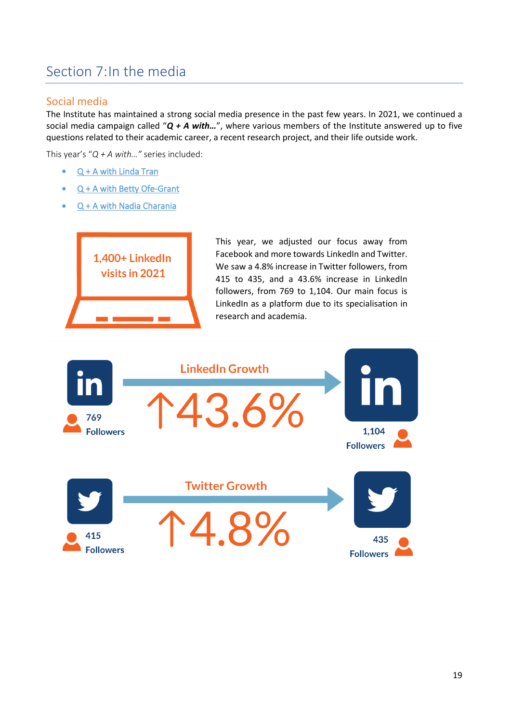## <span id="page-19-0"></span>Section 7:In the media

### Social media

The Institute has maintained a strong social media presence in the past few years. In 2021, we continued a social media campaign called "*Q + A with…*", where various members of the Institute answered up to five questions related to their academic career, a recent research project, and their life outside work.

This year's "*Q + A with…"* series included:

- [Q + A with Linda Tran](https://workresearch.aut.ac.nz/people/qa-with-the-team/q-a-with-linda-tran)
- [Q + A with Betty Ofe-Grant](https://workresearch.aut.ac.nz/people/qa-with-the-team/q-a-with-betty-ofe-grant)
- [Q + A with Nadia Charania](https://workresearch.aut.ac.nz/people/qa-with-the-team/q-a-with-nadia-charania)



This year, we adjusted our focus away from Facebook and more towards LinkedIn and Twitter. We saw a 4.8% increase in Twitter followers, from 415 to 435, and a 43.6% increase in LinkedIn followers, from 769 to 1,104. Our main focus is LinkedIn as a platform due to its specialisation in research and academia.

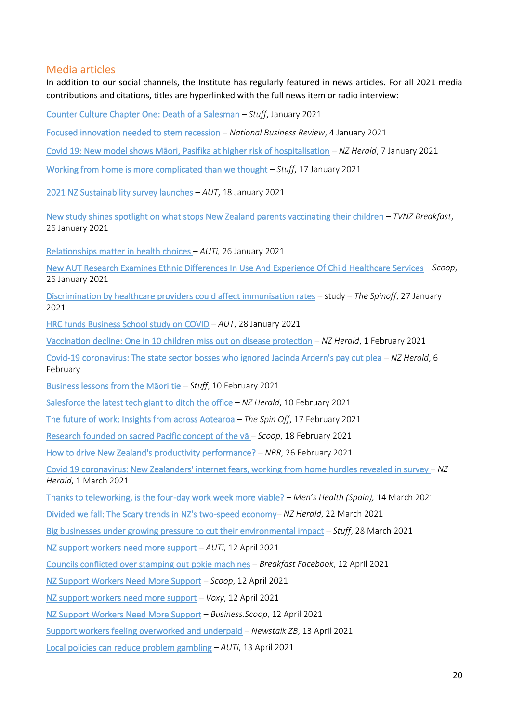#### Media articles

In addition to our social channels, the Institute has regularly featured in news articles. For all 2021 media contributions and citations, titles are hyperlinked with the full news item or radio interview:

[Counter Culture Chapter One: Death of a Salesman](https://interactives.stuff.co.nz/2021/01/counter-culture-dairies-of-new-zealand/part-one/) – *Stuff*, January 2021

[Focused innovation needed to stem recession](https://www.nbr.co.nz/analysis/focused-innovation-needed-stem-recession?utm_medium=email&utm_source=Heads%20Up) – *National Business Review*, 4 January 2021

[Covid 19: New model shows Māori, Pasifika at higher risk of hospitalisation](https://www.nzherald.co.nz/nz/covid-19-new-model-shows-maori-pasifika-at-higher-risk-of-hospitalisation/VFFA5KFZ42KGQY2D7RJPKWSNPM/) – *NZ Herald*, 7 January 2021

[Working from home is more complicated than we thought](https://www.stuff.co.nz/business/123891998/working-from-home-is-more-complicated-than-we-thought) – *Stuff*, 17 January 2021

[2021 NZ Sustainability survey launches](https://news.aut.ac.nz/news/2021-nz-sustainability-survey-launches) – *AUT*, 18 January 2021

[New study shines spotlight on what stops New Zealand parents vaccinating their children](https://auti.aut.ac.nz/Pages/home.aspxhttps:/www.tvnz.co.nz/one-news/new-zealand/new-study-shines-spotlight-stops-zealand-https:/www.tvnz.co.nz/one-news/new-zealand/new-study-shines-spotlight-stops-zealand-parents-vaccinating-their-children-vaccinating-their-children) – *TVNZ Breakfast*, 26 January 2021

[Relationships matter in health choices](https://workresearch.aut.ac.nz/media-and-events/pages/relationships-matter-in-health-choices) – *AUTi,* 26 January 2021

[New AUT Research Examines Ethnic Differences In Use And Experience Of Child Healthcare Services](https://www.scoop.co.nz/stories/GE2101/S00053/new-aut-research-examines-ethnic-differences-in-use-and-experience-of-child-healthcare-services.htm) – *Scoop*, 26 January 2021

[Discrimination by healthcare providers could affect immunisation rates](https://thespinoff.co.nz/science/26-01-2021/discrimination-by-healthcare-providers-could-affect-immunisation-rates-study/) – study – *The Spinoff*, 27 January 2021

[HRC funds Business School study on COVID](https://news.aut.ac.nz/news/hrc-funds-business-school-study-on-covid) – *AUT*, 28 January 2021

[Vaccination decline: One in 10 children miss out on disease protection](https://www.nzherald.co.nz/nz/vaccination-decline-one-in-10-children-miss-out-on-disease-protection/DGKZGNQORNC7ITF2HKEDVBFLCI/) – *NZ Herald*, 1 February 2021

[Covid-19 coronavirus: The state sector bosses who ignored Jacinda Ardern's pay cut plea](https://www.nzherald.co.nz/nz/covid-19-coronavirus-the-state-sector-bosses-who-ignored-jacinda-arderns-pay-cut-plea/XR4BUDR2BMNAUIGDD5ZEFYDK44/) – *NZ Herald*, 6 February

[Business lessons from the Māori tie](https://www.stuff.co.nz/business/opinion-analysis/300226754/business-lessons-from-the-mori-tie) – *Stuff*, 10 February 2021

[Salesforce the latest tech giant to ditch the office](https://www.nzherald.co.nz/business/salesforce-the-latest-tech-giant-to-ditch-the-office/7LM74PJ4FBG2X6ZGI5FIQ4SOAA/) – *NZ Herald*, 10 February 2021

[The future of work: Insights from across Aotearoa](https://thespinoff.co.nz/partner/trade-me/jobs/17-02-2021/the-future-of-work-insights-from-across-aotearoa/) – *The Spin Off*, 17 February 2021

Research founded on sacred Pacific concept of the vā – *Scoop*, 18 February 2021

[How to drive New Zealand's productivity performance?](https://www.nbr.co.nz/story/how-drive-new-zealand-s-productivity-performance) – *NBR*, 26 February 2021

[Covid 19 coronavirus: New Zealanders' internet fears, working from home hurdles revealed in survey](https://www.nzherald.co.nz/business/covid-19-coronavirus-new-zealanders-internet-fears-working-from-home-hurdles-revealed-in-survey/RUYDNSHH23VOOO2Q2C4425KP7M/) – *NZ Herald*, 1 March 2021

[Thanks to teleworking, is the four-day work week more viable?](http://translate.google.com/translate?langpair=es%7cen&u=https://www.menshealth.com/es/salud-bienestar/a35486605/jornada-laboral-cuatro-dias-teletrabajo/) – *Men's Health (Spain),* 14 March 2021

[Divided we fall: The Scary trends in NZ's two-speed economy](https://www.nzherald.co.nz/business/divided-we-fall-the-scary-trends-in-new-zealands-two-speed-economy/YVISWHWYQOV5ZPOICRMGU3QHUM/)– *NZ Herald*, 22 March 2021

[Big businesses under growing pressure to cut their environmental impact](https://www.stuff.co.nz/business/green-business/124398564/big-businesses-under-growing-pressure-to-cut-their-environmental-impact) – *Stuff*, 28 March 2021

[NZ support workers need more support](https://auti.aut.ac.nz/news/Pages/NZ-support-workers-need-more-support.aspx) – *AUTi*, 12 April 2021

[Councils conflicted over stamping out pokie machines](https://www.facebook.com/337418942718/videos/1276999122697183) – *Breakfast Facebook*, 12 April 2021

[NZ Support Workers Need More Support](https://www.scoop.co.nz/stories/BU2104/S00147/nz-support-workers-need-more-support.htm) – *Scoop*, 12 April 2021

[NZ support workers need more support](http://www.voxy.co.nz/national/5/385054) – *Voxy*, 12 April 2021

[NZ Support Workers Need More Support](http://business.scoop.co.nz/2021/04/12/nz-support-workers-need-more-support/) – *Business*.*Scoop*, 12 April 2021

[Support workers feeling overworked and underpaid](https://www.newstalkzb.co.nz/on-air/early-edition/audio/katherine-ravenswood-support-workers-feeling-overworked-and-underpaid/) – *Newstalk ZB*, 13 April 2021

[Local policies can reduce problem gambling](https://auti.aut.ac.nz/news/Pages/Local-policies-can-reduce-problem-gambling.aspx) – *AUTi*, 13 April 2021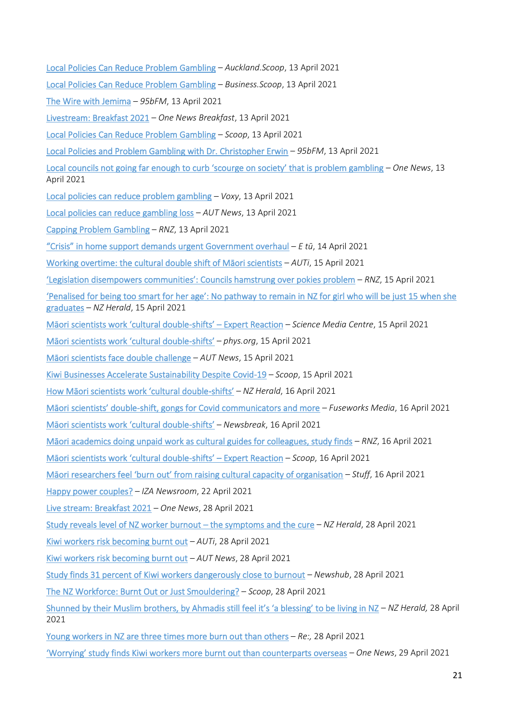- [Local Policies Can Reduce Problem Gambling](http://auckland.scoop.co.nz/2021/04/local-policies-can-reduce-problem-gambling/) *Auckland.Scoop*, 13 April 2021
- [Local Policies Can Reduce Problem Gambling](http://business.scoop.co.nz/2021/04/13/local-policies-can-reduce-problem-gambling/) *Business.Scoop*, 13 April 2021
- [The Wire with Jemima](https://95bfm.com/bcast/the-wire-with-jemima-april-13-2021?utm_medium=feed&utm_source=twitter.com&utm_campaign=Feed%3A+the-wire) *95bFM*, 13 April 2021
- [Livestream: Breakfast 2021](https://www.tvnz.co.nz/one-news/new-zealand/live-stream-breakfast-2021) *One News Breakfast*, 13 April 2021
- [Local Policies Can Reduce Problem Gambling](https://www.scoop.co.nz/stories/PO2104/S00084/local-policies-can-reduce-problem-gambling.htm) *Scoop*, 13 April 2021
- [Local Policies and Problem Gambling with Dr. Christopher Erwin](https://95bfm.com/bcast/local-policies-and-problem-gambling-w-dr-christopher-erwin-13th-april-2021?utm_medium=feed&utm_source=twitter.com&utm_campaign=Feed%3A+the-wire) *95bFM*, 13 April 2021
- [Local councils not going far enough to curb 'scourge on society' that is problem gambling](https://www.tvnz.co.nz/one-news/new-zealand/local-councils-not-going-far-enough-curb-scourge-society-problem-gambling-report) *One News*, 13 April 2021
- [Local policies can reduce problem gambling](http://www.voxy.co.nz/lifestyle/5/385069) *Voxy*, 13 April 2021
- [Local policies can reduce gambling loss](https://news.aut.ac.nz/news/local-policies-can-reduce-gambling-loss) *AUT News*, 13 April 2021
- [Capping Problem Gambling](http://mms.tveyes.com/MediaView/?c3RhdGlvbj0xNTU1MCZTdGFydERhdGVUaW1lPTA0JTJmMTMlMmYyMDIxKzA2JTNhMzQlM2EyMyZFbmREYXRlVGltZT0wNCUyZjEzJTJmMjAyMSswNiUzYTM1JTNhMTImJiZkdXJhdGlvbj0yOTgyMDAmcGFydG5lcmlkPTczMTMmJmhpZ2hsaWdodHJlZ2V4PSU1Y2JnYW1ibGluZyU1Y2IlN2MlNWNibG9jYWwrcG9saWNpZXMlNWNiJm1vZGVkaXRvcmVuYWJsZT10cnVlJm1vZGVkaXRvcmRlc3RpbmF0aW9ucz00JiZleHBpcmF0aW9uPTA1JTJmMTMlMmYyMDIxKzA2JTNhMzQlM2EyMy4wMDAmaW5zdGFudFBsYXk9VHJ1ZSZzaWduYXR1cmU9ZTE3ZGQxMzM0NzdjOTIwNzI2Zjk3ZGUwMjM2N2ZjODA=) *RNZ*, 13 April 2021
- ["Crisis" in home support demands urgent Government overhaul](https://etu.nz/crisis-in-home-support-demands-urgent-government-overhaul/) *E tū*, 14 April 2021
- [Working overtime: the cultural double shift of Māori scientists](https://auti.aut.ac.nz/news/Pages/Working-overtime-the-cultural-double-shift-of-Maori-scientists-.aspx) *AUTi*, 15 April 2021
- ['Legislation disempowers communities': Councils hamstrung over pokies problem](https://www.rnz.co.nz/news/national/440504/legislation-disempowers-communities-councils-hamstrung-over-pokies-problem) *RNZ*, 15 April 2021

['Penalised for being too smart for her age': No pathway to remain in NZ for girl who will](https://www.nzherald.co.nz/nz/penalised-for-being-too-smart-for-her-age-no-pathway-to-remain-in-nz-for-girl-who-will-be-just-15-when-she-graduates/A5XH3B75Z5PTF74IYZN2LJPNCQ/) be just 15 when she [graduates](https://www.nzherald.co.nz/nz/penalised-for-being-too-smart-for-her-age-no-pathway-to-remain-in-nz-for-girl-who-will-be-just-15-when-she-graduates/A5XH3B75Z5PTF74IYZN2LJPNCQ/) – *NZ Herald*, 15 April 2021

- [Māori scientists work 'cultural double](https://www.sciencemediacentre.co.nz/2021/04/15/maori-scientists-work-cultural-double-shifts-expert-reaction/)-shifts' Expert Reaction *Science Media Centre*, 15 April 2021
- [Māori scientists work 'cultural double](https://phys.org/news/2021-04-mori-scientists-cultural-double-shifts.html)-shifts' *phys.org*, 15 April 2021
- [Māori scientists face double challenge](https://news.aut.ac.nz/news/maori-scientists-face-double-challenge) *AUT News*, 15 April 2021
- [Kiwi Businesses Accelerate Sustainability Despite Covid-19](https://www.scoop.co.nz/stories/BU2104/S00205/kiwi-businesses-accelerate-sustainability-despite-covid-19.htm) *Scoop*, 15 April 2021
- [How Māori scientists work 'cultural double](https://www.nzherald.co.nz/nz/how-maori-scientists-are-pulling-cultural-double-shifts/4G2PAWNTYLH6PC5CS4TXQU7JRE/)-shifts' *NZ Herald*, 16 April 2021
- Māori scientists' double[-shift, gongs for Covid communicators and more](https://news.fuseworksmedia.com/2c7d7b76-18a7-41cd-afd8-b2e0193b6de2) *Fuseworks Media*, 16 April 2021
- [Māori scientists work 'cultural double](https://www.newsbreak.com/news/2205503550995/m-ori-scientists-work-cultural-double-shifts)-shifts' *Newsbreak*, 16 April 2021
- [Māori academics doing unpaid work as cultural guides for colleagues, study finds](https://www.rnz.co.nz/news/te-manu-korihi/440585/maori-academics-doing-unpaid-work-as-cultural-guides-for-colleagues-study-finds) *RNZ*, 16 April 2021
- [Māori scientists work 'cultural double](https://www.scoop.co.nz/stories/SC2104/S00021/maori-scientists-work-cultural-double-shifts-expert-reaction.htm)-shifts' Expert Reaction *Scoop*, 16 April 2021
- [Māori researchers feel 'burn out' from raising cultural capacity of organisation](https://www.stuff.co.nz/pou-tiaki/300278363/mori-researchers-feel-burn-out-from-raising-cultural-capacity-of-organisation) *Stuff*, 16 April 2021
- [Happy power couples?](https://newsroom.iza.org/en/archive/research/happy-power-couples/) *IZA Newsroom*, 22 April 2021
- [Live stream: Breakfast 2021](https://www.tvnz.co.nz/one-news/new-zealand/live-stream-breakfast-2021#t=1h52m7s) *One News*, 28 April 2021
- [Study reveals level of NZ worker burnout](https://www.nzherald.co.nz/business/study-reveals-level-of-nz-worker-burnout-the-symptoms-and-the-cure/6SAUVVPSQ2HPAD4QB55MRJKM3M/)  the symptoms and the cure *NZ Herald*, 28 April 2021
- [Kiwi workers risk becoming burnt out](https://auti.aut.ac.nz/news/Pages/Kiwi-workers-risk-becoming-burnt-out.aspx) *AUTi*, 28 April 2021
- [Kiwi workers risk becoming burnt out](https://news.aut.ac.nz/news/kiwi-workers-risk-becoming-burnt-out) *AUT News*, 28 April 2021
- [Study finds 31 percent of Kiwi workers dangerously close to burnout](https://www.newshub.co.nz/home/new-zealand/2021/04/study-finds-31-percent-of-kiwi-workers-dangerously-close-to-burnout.html) *Newshub*, 28 April 2021
- [The NZ Workforce: Burnt Out or Just Smouldering?](https://www.scoop.co.nz/stories/BU2104/S00424/the-nz-workforce-burnt-out-or-just-smouldering.htm) *Scoop*, 28 April 2021
- [Shunned by their Muslim brothers, by Ahmadis still feel it's 'a blessing' to be living in NZ](https://www.nzherald.co.nz/nz/shunned-by-their-muslim-brothers-but-ahmadis-still-feel-its-a-blessing-to-be-living-in-nz/HTBS7UBCON5PXLDSA6VJQWBMTM/) *NZ Herald,* 28 April 2021
- [Young workers in NZ are three times more burn out than others](https://www.renews.co.nz/young-workers-in-nz-are-three-times-more-burnt-out-than-others/#:~:text=The%20research%20was%20led%20by,risk%20of%20being%20burnt%20out.) *Re:,* 28 April 2021
- ['Worrying' study finds Kiwi workers more burnt out than counterparts overseas](https://www.tvnz.co.nz/one-news/new-zealand/worrying-study-finds-kiwi-workers-more-burnt-than-counterparts-overseas) *One News*, 29 April 2021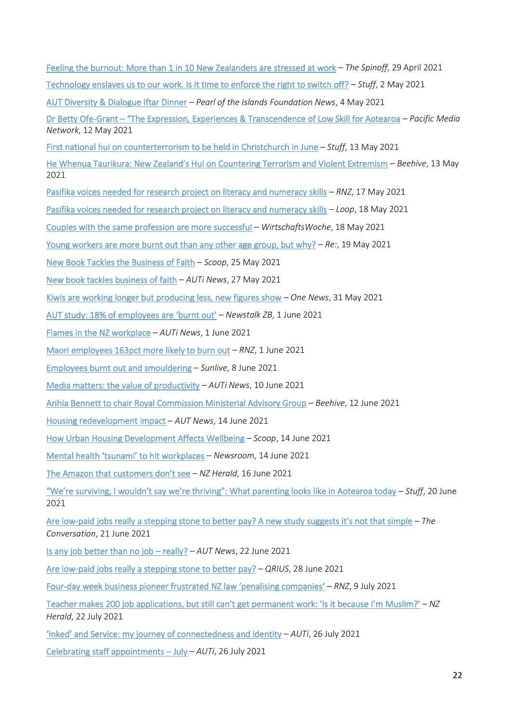| Feeling the burnout: More than 1 in 10 New Zealanders are stressed at work - The Spinoff, 29 April 2021                                |
|----------------------------------------------------------------------------------------------------------------------------------------|
| Technology enslaves us to our work. Is it time to enforce the right to switch off? - Stuff, 2 May 2021                                 |
| AUT Diversity & Dialogue Iftar Dinner - Pearl of the Islands Foundation News, 4 May 2021                                               |
| Dr Betty Ofe-Grant - "The Expression, Experiences & Transcendence of Low Skill for Aotearoa - Pacific Media<br>Network, 12 May 2021    |
| First national hui on counterterrorism to be held in Christchurch in June - Stuff, 13 May 2021                                         |
| He Whenua Taurikura: New Zealand's Hui on Countering Terrorism and Violent Extremism - Beehive, 13 May<br>2021                         |
| Pasifika voices needed for research project on literacy and numeracy skills - RNZ, 17 May 2021                                         |
| Pasifika voices needed for research project on literacy and numeracy skills - Loop, 18 May 2021                                        |
| Couples with the same profession are more successful - WirtschaftsWoche, 18 May 2021                                                   |
| <u>Young workers are more burnt out than any other age group, but why?</u> $-$ <i>Re:</i> , 19 May 2021                                |
| New Book Tackles the Business of Faith - Scoop, 25 May 2021                                                                            |
| New book tackles business of faith - AUTi News, 27 May 2021                                                                            |
| Kiwis are working longer but producing less, new figures show - One News, 31 May 2021                                                  |
| AUT study: 18% of employees are 'burnt out' - Newstalk ZB, 1 June 2021                                                                 |
| Flames in the NZ workplace - AUTi News, 1 June 2021                                                                                    |
| Maori employees 163pct more likely to burn out - RNZ, 1 June 2021                                                                      |
| Employees burnt out and smouldering - Sunlive, 8 June 2021                                                                             |
| Media matters: the value of productivity - AUTi News, 10 June 2021                                                                     |
| Arihia Bennett to chair Royal Commission Ministerial Advisory Group - Beehive, 12 June 2021                                            |
| Housing redevelopment impact - AUT News, 14 June 2021                                                                                  |
| How Urban Housing Development Affects Wellbeing - Scoop, 14 June 2021                                                                  |
| Mental health 'tsunami' to hit workplaces - Newsroom, 14 June 2021                                                                     |
| The Amazon that customers don't see - NZ Herald, 16 June 2021                                                                          |
| "We're surviving, I wouldn't say we're thriving": What parenting looks like in Aotearoa today - Stuff, 20 June<br>2021                 |
| Are low-paid jobs really a stepping stone to better pay? A new study suggests it's not that simple - The<br>Conversation, 21 June 2021 |
| Is any job better than no job - really? - AUT News, 22 June 2021                                                                       |
| Are low-paid jobs really a stepping stone to better pay? - QRIUS, 28 June 2021                                                         |
| Four-day week business pioneer frustrated NZ law 'penalising companies' - RNZ, 9 July 2021                                             |
| Teacher makes 200 job applications, but still can't get permanent work: 'Is it because I'm Muslim?' $-NZ$<br>Herald, 22 July 2021      |

['Inked' and Service: my journey of connectedness and identity](https://workresearch.aut.ac.nz/media-and-events/pages/inked-and-service-my-journey-of-connectedness-and-identity) – *AUTi*, 26 July 2021

[Celebrating staff appointments](https://workresearch.aut.ac.nz/media-and-events/pages/celebrating-staff-appointments-july) – July – *AUTi*, 26 July 2021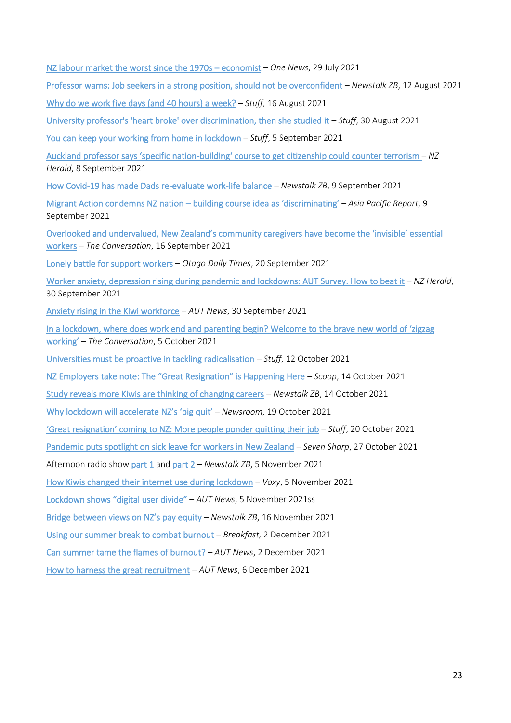| NZ labour market the worst since the 1970s - economist - One News, 29 July 2021 |  |  |
|---------------------------------------------------------------------------------|--|--|
|---------------------------------------------------------------------------------|--|--|

[Professor warns: Job seekers in a strong position, should not be overconfident](https://www.newstalkzb.co.nz/on-air/early-edition/audio/jarrod-haar-management-professor-says-job-seekers-are-in-a-strong-position-but-should-not-be-overconfident/) – *Newstalk ZB*, 12 August 2021

[Why do we work five days \(and 40 hours\) a week?](https://www.stuff.co.nz/business/126061790/why-do-we-work-five-days-and-40-hours-a-week) – *Stuff*, 16 August 2021

[University professor's 'heart broke' over discrimination, then she studied it](stuff.co.nz/pou-tiaki/126222025/university-professors-heart-broke-over-discrimination-then-she-studied-it) – *Stuff*, 30 August 2021

[You can keep your working from home in lockdown](https://www.stuff.co.nz/life-style/homed/126187966/you-can-keep-your-working-from-home-in-lockdown) – *Stuff*, 5 September 2021

Auckland professor says 'specific nation-building' [course to get citizenship could counter terrorism](https://www.nzherald.co.nz/nz/auckland-professor-says-specific-nation-building-course-to-get-citizenship-could-counter-terrorism/AWLBT6AUPXNWUV57DAGVG333KQ/) – *NZ Herald*, 8 September 2021

[How Covid-19 has made Dads re-evaluate work-life balance](https://www.newstalkzb.co.nz/on-air/kerre-mcivor-mornings/audio/dr-katherine-ravenswood-employment-relations-professor-on-how-covid-19-has-made-dads-re-evaluate-work-life-balance/) – *Newstalk ZB*, 9 September 2021

[Migrant Action condemns NZ nation](https://asiapacificreport.nz/2021/09/09/migrant-action-condemns-nation-building-course-idea-as-discriminating/) – building course idea as 'discriminating' – *Asia Pacific Report*, 9 September 2021

[Overlooked and undervalued, New Zealand's community caregivers have become the 'invisible' essential](https://theconversation.com/overlooked-and-undervalued-new-zealands-community-caregivers-have-become-the-invisible-essential-workers-167632)  [workers](https://theconversation.com/overlooked-and-undervalued-new-zealands-community-caregivers-have-become-the-invisible-essential-workers-167632) – *The Conversation*, 16 September 2021

[Lonely battle for support workers](https://www.odt.co.nz/opinion/lonely-battle-support-workers) – *Otago Daily Times*, 20 September 2021

[Worker anxiety, depression rising during pandemic and lockdowns: AUT Survey. How to beat it](https://www.nzherald.co.nz/business/worker-anxiety-depression-rising-during-pandemic-and-lockdowns-aut-survey-how-to-beat-it/FLGLGB7ZSPA5ZH7YOITOM7YH7E/) – *NZ Herald*, 30 September 2021

[Anxiety rising in the Kiwi workforce](https://news.aut.ac.nz/news/anxiety-rising-in-the-kiwi-workforce) – *AUT News*, 30 September 2021

[In a lockdown, where does work end and parenting beg](https://theconversation.com/in-a-lockdown-where-does-work-end-and-parenting-begin-welcome-to-the-brave-new-world-of-zigzag-working-169088?utm_source=linkedin&utm_medium=bylinelinkedinbutton)in? Welcome to the brave new world of 'zigzag [working'](https://theconversation.com/in-a-lockdown-where-does-work-end-and-parenting-begin-welcome-to-the-brave-new-world-of-zigzag-working-169088?utm_source=linkedin&utm_medium=bylinelinkedinbutton) – *The Conversation*, 5 October 2021

[Universities must be proactive in tackling radicalisation](https://www.stuff.co.nz/opinion/126597972/universities-must-be-proactive-in-tackling-radicalisation) – *Stuff*, 12 October 2021

[NZ Employers take note: The "Great Resignation" is Happening Here](https://www.scoop.co.nz/stories/BU2110/S00344/nz-employers-take-note-the-great-resignation-is-happening-here.htm) – *Scoop*, 14 October 2021

[Study reveals more Kiwis are thinking of changing careers](https://www.newstalkzb.co.nz/on-air/mike-hosking-breakfast/audio/jarrod-haar-study-reveals-more-kiwis-are-thinking-of-changing-careers/) – *Newstalk ZB*, 14 October 2021

[Why lockdown will accelerate](https://www.newsroom.co.nz/the-great-resignation-on-its-way-to-nz) NZ's 'big quit' – *Newsroom*, 19 October 2021

['Great resignation' coming to NZ: More people ponder quitting their job](https://www.stuff.co.nz/business/126696547/great-resignation-coming-to-nz-more-people-ponder-quitting-their-job) – *Stuff*, 20 October 2021

[Pandemic puts spotlight on sick leave for workers in New Zealand](https://www.tvnz.co.nz/shows/seven-sharp/clips/pandemic-puts-spotlight-on-sick-leave-for-workers-in-new-zealand) – *Seven Sharp*, 27 October 2021

Afternoon radio show [part 1](http://mms.tveyes.com/MediaView/?c3RhdGlvbj0xNTUzNSZTdGFydERhdGVUaW1lPTExJTJmMDUlMmYyMDIxKzA3JTNhMDQlM2EwNiZFbmREYXRlVGltZT0xMSUyZjA1JTJmMjAyMSswNyUzYTA0JTNhNDImJnBsYXlzdG9wPTExJTJmMDUlMmYyMDIxKzA3JTNhMDUlM2EwMCZwYXJ0bmVyaWQ9NzMxMyYmaGlnaGxpZ2h0cmVnZXg9Jm1vZGVkaXRvcmVuYWJsZT10cnVlJm1vZGVkaXRvcmRlc3RpbmF0aW9ucz00JiZleHBpcmF0aW9uPTEyJTJmMDUlMmYyMDIxKzA3JTNhMDQlM2EwNi4wMDAmaW5zdGFudFBsYXk9VHJ1ZSZzaWduYXR1cmU9NTYxODM4M2RmMjE5MGQxMTUzMDZmMjAwZjg1N2IzMGM=) and [part 2](http://mms.tveyes.com/MediaView/?c3RhdGlvbj0xNTUzNSZTdGFydERhdGVUaW1lPTExJTJmMDUlMmYyMDIxKzA2JTNhMzMlM2E1OSZFbmREYXRlVGltZT0xMSUyZjA1JTJmMjAyMSswNiUzYTM0JTNhNDEmJnBsYXlzdG9wPTExJTJmMDUlMmYyMDIxKzA2JTNhMzQlM2E1OCZwYXJ0bmVyaWQ9NzMxMyYmaGlnaGxpZ2h0cmVnZXg9Jm1vZGVkaXRvcmVuYWJsZT10cnVlJm1vZGVkaXRvcmRlc3RpbmF0aW9ucz00JiZleHBpcmF0aW9uPTEyJTJmMDUlMmYyMDIxKzA2JTNhMzMlM2E1OS4wMDAmaW5zdGFudFBsYXk9VHJ1ZSZzaWduYXR1cmU9NWU4YTlmOGM2Y2MxZTE5Njk1MWIzNmVhMGE1YTNlOWU=) – *Newstalk ZB*, 5 November 2021

[How Kiwis changed their internet use during lockdown](http://www.voxy.co.nz/technology/5/395046) – *Voxy*, 5 November 2021

[Lockdown shows "digital user divide"](https://news.aut.ac.nz/news/lockdown-shows-digital-user-divide) – *AUT News*, 5 November 2021ss

[Bridge between views on NZ's pay equity](https://www.newstalkzb.co.nz/on-air/heather-du-plessis-allan-drive/audio/jarrod-haar-aut-business-school-professor-on-fairness-and-transparency-of-wages/) – *Newstalk ZB*, 16 November 2021

[Using our summer break to combat burnout](https://www.facebook.com/Breakfaston1/videos/445791837145521/) – *Breakfast,* 2 December 2021

[Can summer tame the flames of burnout?](https://news.aut.ac.nz/news/can-summer-tame-the-flames-of-burnout) – *AUT News*, 2 December 2021

[How to harness the great recruitment](https://news.aut.ac.nz/opinion/how-to-harness-the-great-recruitment) – *AUT News*, 6 December 2021